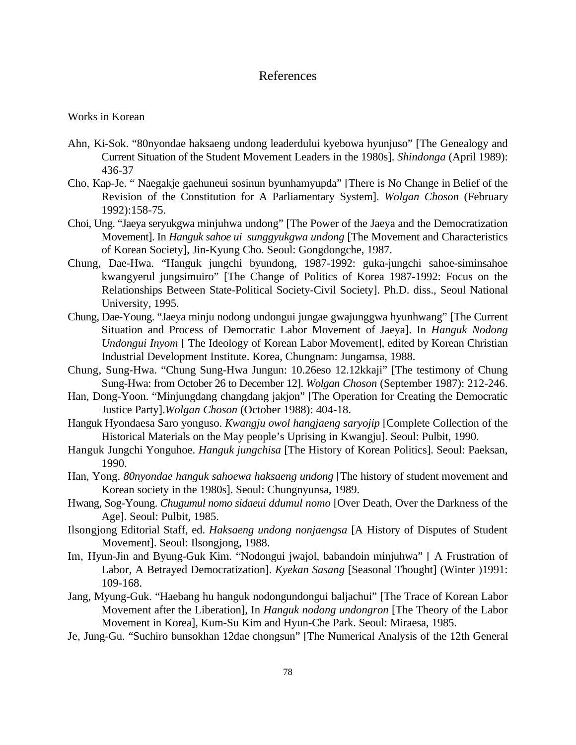## References

Works in Korean

- Ahn, Ki-Sok. "80nyondae haksaeng undong leaderdului kyebowa hyunjuso" [The Genealogy and Current Situation of the Student Movement Leaders in the 1980s]. *Shindonga* (April 1989): 436-37
- Cho, Kap-Je. " Naegakje gaehuneui sosinun byunhamyupda" [There is No Change in Belief of the Revision of the Constitution for A Parliamentary System]. *Wolgan Choson* (February 1992):158-75.
- Choi, Ung. "Jaeya seryukgwa minjuhwa undong" [The Power of the Jaeya and the Democratization Movement]. In *Hanguk sahoe ui sunggyukgwa undong* [The Movement and Characteristics of Korean Society], Jin-Kyung Cho. Seoul: Gongdongche, 1987.
- Chung, Dae-Hwa. "Hanguk jungchi byundong, 1987-1992: guka-jungchi sahoe-siminsahoe kwangyerul jungsimuiro" [The Change of Politics of Korea 1987-1992: Focus on the Relationships Between State-Political Society-Civil Society]. Ph.D. diss., Seoul National University, 1995.
- Chung, Dae-Young. "Jaeya minju nodong undongui jungae gwajunggwa hyunhwang" [The Current Situation and Process of Democratic Labor Movement of Jaeya]. In *Hanguk Nodong Undongui Inyom* [ The Ideology of Korean Labor Movement], edited by Korean Christian Industrial Development Institute. Korea, Chungnam: Jungamsa, 1988.
- Chung, Sung-Hwa. "Chung Sung-Hwa Jungun: 10.26eso 12.12kkaji" [The testimony of Chung Sung-Hwa: from October 26 to December 12]. *Wolgan Choson* (September 1987): 212-246.
- Han, Dong-Yoon. "Minjungdang changdang jakjon" [The Operation for Creating the Democratic Justice Party].*Wolgan Choson* (October 1988): 404-18.
- Hanguk Hyondaesa Saro yonguso. *Kwangju owol hangjaeng saryojip* [Complete Collection of the Historical Materials on the May people's Uprising in Kwangju]. Seoul: Pulbit, 1990.
- Hanguk Jungchi Yonguhoe. *Hanguk jungchisa* [The History of Korean Politics]. Seoul: Paeksan, 1990.
- Han, Yong. *80nyondae hanguk sahoewa haksaeng undong* [The history of student movement and Korean society in the 1980s]. Seoul: Chungnyunsa, 1989.
- Hwang*,* Sog-Young. *Chugumul nomo sidaeui ddumul nomo* [Over Death, Over the Darkness of the Age]. Seoul: Pulbit, 1985.
- Ilsongjong Editorial Staff, ed. *Haksaeng undong nonjaengsa* [A History of Disputes of Student Movement]. Seoul: Ilsongjong, 1988.
- Im, Hyun-Jin and Byung-Guk Kim. "Nodongui jwajol, babandoin minjuhwa" [ A Frustration of Labor, A Betrayed Democratization]. *Kyekan Sasang* [Seasonal Thought] (Winter )1991: 109-168.
- Jang, Myung-Guk. "Haebang hu hanguk nodongundongui baljachui" [The Trace of Korean Labor Movement after the Liberation], In *Hanguk nodong undongron* [The Theory of the Labor Movement in Korea], Kum-Su Kim and Hyun-Che Park. Seoul: Miraesa, 1985.
- Je, Jung-Gu. "Suchiro bunsokhan 12dae chongsun" [The Numerical Analysis of the 12th General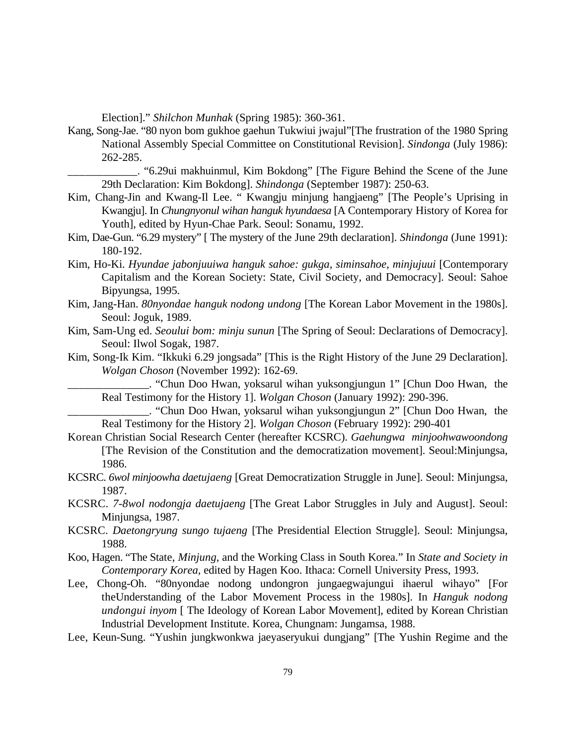Election]." *Shilchon Munhak* (Spring 1985): 360-361.

- Kang, Song-Jae. "80 nyon bom gukhoe gaehun Tukwiui jwajul"[The frustration of the 1980 Spring National Assembly Special Committee on Constitutional Revision]. *Sindonga* (July 1986): 262-285.
	- \_\_\_\_\_\_\_\_\_\_\_\_. "6.29ui makhuinmul, Kim Bokdong" [The Figure Behind the Scene of the June 29th Declaration: Kim Bokdong]. *Shindonga* (September 1987): 250-63.
- Kim, Chang-Jin and Kwang-Il Lee. " Kwangju minjung hangjaeng" [The People's Uprising in Kwangju]. In *Chungnyonul wihan hanguk hyundaesa* [A Contemporary History of Korea for Youth], edited by Hyun-Chae Park. Seoul: Sonamu, 1992.
- Kim, Dae-Gun. "6.29 mystery" [ The mystery of the June 29th declaration]. *Shindonga* (June 1991): 180-192.
- Kim, Ho-Ki. *Hyundae jabonjuuiwa hanguk sahoe: gukga, siminsahoe, minjujuui* [Contemporary Capitalism and the Korean Society: State, Civil Society, and Democracy]. Seoul: Sahoe Bipyungsa, 1995.
- Kim, Jang-Han. *80nyondae hanguk nodong undong* [The Korean Labor Movement in the 1980s]. Seoul: Joguk, 1989.
- Kim, Sam-Ung ed. *Seoului bom: minju sunun* [The Spring of Seoul: Declarations of Democracy]. Seoul: Ilwol Sogak, 1987.
- Kim, Song-Ik Kim. "Ikkuki 6.29 jongsada" [This is the Right History of the June 29 Declaration]. *Wolgan Choson* (November 1992): 162-69.

\_\_\_\_\_\_\_\_\_\_\_\_\_\_. "Chun Doo Hwan, yoksarul wihan yuksongjungun 1" [Chun Doo Hwan, the Real Testimony for the History 1]. *Wolgan Choson* (January 1992): 290-396.

\_\_\_\_\_\_\_\_\_\_\_\_\_\_. "Chun Doo Hwan, yoksarul wihan yuksongjungun 2" [Chun Doo Hwan, the Real Testimony for the History 2]. *Wolgan Choson* (February 1992): 290-401

- Korean Christian Social Research Center (hereafter KCSRC). *Gaehungwa minjoohwawoondong* [The Revision of the Constitution and the democratization movement]. Seoul:Minjungsa, 1986.
- KCSRC. *6wol minjoowha daetujaeng* [Great Democratization Struggle in June]. Seoul: Minjungsa, 1987.
- KCSRC. *7-8wol nodongja daetujaeng* [The Great Labor Struggles in July and August]. Seoul: Minjungsa, 1987.
- KCSRC. *Daetongryung sungo tujaeng* [The Presidential Election Struggle]. Seoul: Minjungsa, 1988.
- Koo, Hagen. "The State, *Minjung*, and the Working Class in South Korea." In *State and Society in Contemporary Korea,* edited by Hagen Koo. Ithaca: Cornell University Press, 1993.
- Lee, Chong-Oh. "80nyondae nodong undongron jungaegwajungui ihaerul wihayo" [For theUnderstanding of the Labor Movement Process in the 1980s]. In *Hanguk nodong undongui inyom* [ The Ideology of Korean Labor Movement], edited by Korean Christian Industrial Development Institute. Korea, Chungnam: Jungamsa, 1988.
- Lee, Keun-Sung. "Yushin jungkwonkwa jaeyaseryukui dungjang" [The Yushin Regime and the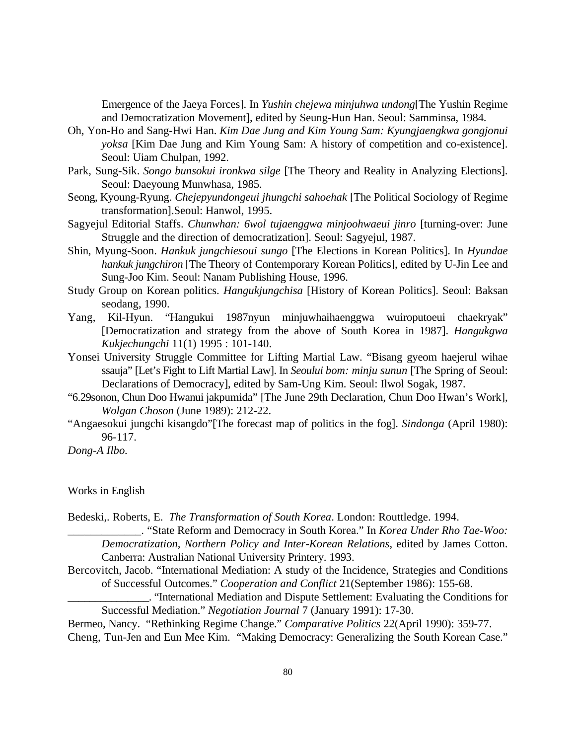Emergence of the Jaeya Forces]. In *Yushin chejewa minjuhwa undong*[The Yushin Regime and Democratization Movement], edited by Seung-Hun Han. Seoul: Samminsa, 1984.

- Oh, Yon-Ho and Sang-Hwi Han. *Kim Dae Jung and Kim Young Sam: Kyungjaengkwa gongjonui yoksa* [Kim Dae Jung and Kim Young Sam: A history of competition and co-existence]. Seoul: Uiam Chulpan, 1992.
- Park, Sung-Sik. *Songo bunsokui ironkwa silge* [The Theory and Reality in Analyzing Elections]. Seoul: Daeyoung Munwhasa, 1985.
- Seong, Kyoung-Ryung. *Chejepyundongeui jhungchi sahoehak* [The Political Sociology of Regime transformation].Seoul: Hanwol, 1995.
- Sagyejul Editorial Staffs. *Chunwhan: 6wol tujaenggwa minjoohwaeui jinro* [turning-over: June Struggle and the direction of democratization]. Seoul: Sagyejul, 1987.
- Shin, Myung-Soon. *Hankuk jungchiesoui sungo* [The Elections in Korean Politics]. In *Hyundae hankuk jungchiron* [The Theory of Contemporary Korean Politics], edited by U-Jin Lee and Sung-Joo Kim. Seoul: Nanam Publishing House, 1996.
- Study Group on Korean politics. *Hangukjungchisa* [History of Korean Politics]. Seoul: Baksan seodang, 1990.
- Yang, Kil-Hyun. "Hangukui 1987nyun minjuwhaihaenggwa wuiroputoeui chaekryak" [Democratization and strategy from the above of South Korea in 1987]. *Hangukgwa Kukjechungchi* 11(1) 1995 : 101-140.
- Yonsei University Struggle Committee for Lifting Martial Law. "Bisang gyeom haejerul wihae ssauja" [Let's Fight to Lift Martial Law]. In *Seoului bom: minju sunun* [The Spring of Seoul: Declarations of Democracy], edited by Sam-Ung Kim. Seoul: Ilwol Sogak, 1987.
- "6.29sonon, Chun Doo Hwanui jakpumida" [The June 29th Declaration, Chun Doo Hwan's Work], *Wolgan Choson* (June 1989): 212-22.
- "Angaesokui jungchi kisangdo"[The forecast map of politics in the fog]. *Sindonga* (April 1980): 96-117.

*Dong-A Ilbo.*

Works in English

Bedeski,. Roberts, E. *The Transformation of South Korea*. London: Routtledge. 1994.

\_\_\_\_\_\_\_\_\_\_\_\_\_. "State Reform and Democracy in South Korea." In *Korea Under Rho Tae-Woo: Democratization, Northern Policy and Inter-Korean Relations*, edited by James Cotton. Canberra: Australian National University Printery. 1993.

- Bercovitch, Jacob. "International Mediation: A study of the Incidence, Strategies and Conditions of Successful Outcomes." *Cooperation and Conflict* 21(September 1986): 155-68.
	- \_\_\_\_\_\_\_\_\_\_\_\_\_\_\_. "International Mediation and Dispute Settlement: Evaluating the Conditions for Successful Mediation." *Negotiation Journal* 7 (January 1991): 17-30.

Bermeo, Nancy. "Rethinking Regime Change." *Comparative Politics* 22(April 1990): 359-77. Cheng, Tun-Jen and Eun Mee Kim. "Making Democracy: Generalizing the South Korean Case."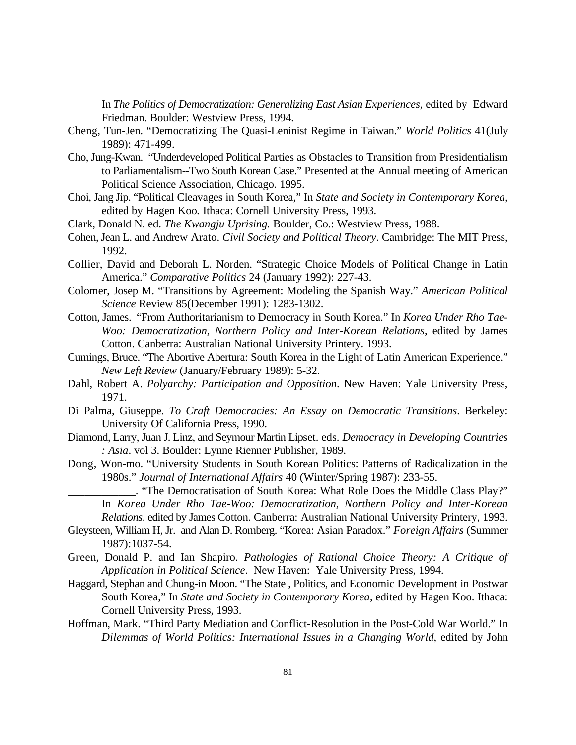In *The Politics of Democratization: Generalizing East Asian Experiences*, edited by Edward Friedman. Boulder: Westview Press, 1994.

- Cheng, Tun-Jen. "Democratizing The Quasi-Leninist Regime in Taiwan." *World Politics* 41(July 1989): 471-499.
- Cho, Jung-Kwan. "Underdeveloped Political Parties as Obstacles to Transition from Presidentialism to Parliamentalism--Two South Korean Case." Presented at the Annual meeting of American Political Science Association, Chicago. 1995.
- Choi, Jang Jip. "Political Cleavages in South Korea," In *State and Society in Contemporary Korea,* edited by Hagen Koo*.* Ithaca: Cornell University Press, 1993.
- Clark, Donald N. ed. *The Kwangju Uprising.* Boulder, Co.: Westview Press, 1988.
- Cohen, Jean L. and Andrew Arato. *Civil Society and Political Theory*. Cambridge: The MIT Press, 1992.
- Collier, David and Deborah L. Norden. "Strategic Choice Models of Political Change in Latin America." *Comparative Politics* 24 (January 1992): 227-43.
- Colomer, Josep M. "Transitions by Agreement: Modeling the Spanish Way." *American Political Science* Review 85(December 1991): 1283-1302.
- Cotton, James. "From Authoritarianism to Democracy in South Korea." In *Korea Under Rho Tae-Woo: Democratization, Northern Policy and Inter-Korean Relations*, edited by James Cotton. Canberra: Australian National University Printery. 1993.
- Cumings, Bruce. "The Abortive Abertura: South Korea in the Light of Latin American Experience." *New Left Review* (January/February 1989): 5-32.
- Dahl, Robert A. *Polyarchy: Participation and Opposition*. New Haven: Yale University Press, 1971.
- Di Palma, Giuseppe. *To Craft Democracies: An Essay on Democratic Transitions*. Berkeley: University Of California Press, 1990.
- Diamond, Larry, Juan J. Linz, and Seymour Martin Lipset. eds. *Democracy in Developing Countries : Asia*. vol 3. Boulder: Lynne Rienner Publisher, 1989.
- Dong, Won-mo. "University Students in South Korean Politics: Patterns of Radicalization in the 1980s." *Journal of International Affairs* 40 (Winter/Spring 1987): 233-55.

\_\_\_\_\_\_\_\_\_\_\_\_. "The Democratisation of South Korea: What Role Does the Middle Class Play?" In *Korea Under Rho Tae-Woo: Democratization, Northern Policy and Inter-Korean*

*Relations*, edited by James Cotton. Canberra: Australian National University Printery, 1993.

- Gleysteen, William H, Jr. and Alan D. Romberg. "Korea: Asian Paradox." *Foreign Affairs* (Summer 1987):1037-54.
- Green, Donald P. and Ian Shapiro. *Pathologies of Rational Choice Theory: A Critique of Application in Political Science*. New Haven: Yale University Press, 1994.
- Haggard, Stephan and Chung-in Moon. "The State , Politics, and Economic Development in Postwar South Korea," In *State and Society in Contemporary Korea*, edited by Hagen Koo. Ithaca: Cornell University Press, 1993.
- Hoffman, Mark. "Third Party Mediation and Conflict-Resolution in the Post-Cold War World." In *Dilemmas of World Politics: International Issues in a Changing World*, edited by John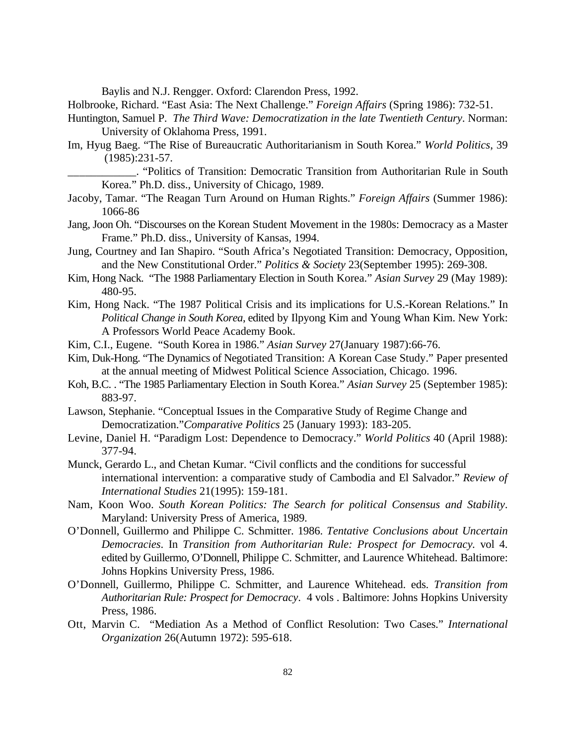Baylis and N.J. Rengger. Oxford: Clarendon Press, 1992.

Holbrooke, Richard. "East Asia: The Next Challenge." *Foreign Affairs* (Spring 1986): 732-51.

- Huntington, Samuel P. *The Third Wave: Democratization in the late Twentieth Century*. Norman: University of Oklahoma Press, 1991.
- Im, Hyug Baeg. "The Rise of Bureaucratic Authoritarianism in South Korea." *World Politics*, 39 (1985):231-57.
	- \_\_\_\_\_\_\_\_\_\_\_\_. "Politics of Transition: Democratic Transition from Authoritarian Rule in South Korea." Ph.D. diss., University of Chicago, 1989.
- Jacoby, Tamar. "The Reagan Turn Around on Human Rights." *Foreign Affairs* (Summer 1986): 1066-86
- Jang, Joon Oh. "Discourses on the Korean Student Movement in the 1980s: Democracy as a Master Frame." Ph.D. diss., University of Kansas, 1994.
- Jung, Courtney and Ian Shapiro. "South Africa's Negotiated Transition: Democracy, Opposition, and the New Constitutional Order." *Politics & Society* 23(September 1995): 269-308.
- Kim, Hong Nack. "The 1988 Parliamentary Election in South Korea." *Asian Survey* 29 (May 1989): 480-95.
- Kim, Hong Nack. "The 1987 Political Crisis and its implications for U.S.-Korean Relations." In *Political Change in South Korea*, edited by Ilpyong Kim and Young Whan Kim. New York: A Professors World Peace Academy Book.
- Kim, C.I., Eugene. "South Korea in 1986." *Asian Survey* 27(January 1987):66-76.
- Kim, Duk-Hong. "The Dynamics of Negotiated Transition: A Korean Case Study." Paper presented at the annual meeting of Midwest Political Science Association, Chicago. 1996.
- Koh, B.C. . "The 1985 Parliamentary Election in South Korea." *Asian Survey* 25 (September 1985): 883-97.
- Lawson, Stephanie. "Conceptual Issues in the Comparative Study of Regime Change and Democratization."*Comparative Politics* 25 (January 1993): 183-205.
- Levine, Daniel H. "Paradigm Lost: Dependence to Democracy." *World Politics* 40 (April 1988): 377-94.
- Munck, Gerardo L., and Chetan Kumar. "Civil conflicts and the conditions for successful international intervention: a comparative study of Cambodia and El Salvador." *Review of International Studies* 21(1995): 159-181.
- Nam, Koon Woo. *South Korean Politics: The Search for political Consensus and Stability*. Maryland: University Press of America, 1989.
- O'Donnell, Guillermo and Philippe C. Schmitter. 1986. *Tentative Conclusions about Uncertain Democracies*. In *Transition from Authoritarian Rule: Prospect for Democracy.* vol 4. edited by Guillermo, O'Donnell, Philippe C. Schmitter, and Laurence Whitehead. Baltimore: Johns Hopkins University Press, 1986.
- O'Donnell, Guillermo, Philippe C. Schmitter, and Laurence Whitehead. eds. *Transition from Authoritarian Rule: Prospect for Democracy*. 4 vols . Baltimore: Johns Hopkins University Press, 1986.
- Ott, Marvin C. "Mediation As a Method of Conflict Resolution: Two Cases." *International Organization* 26(Autumn 1972): 595-618.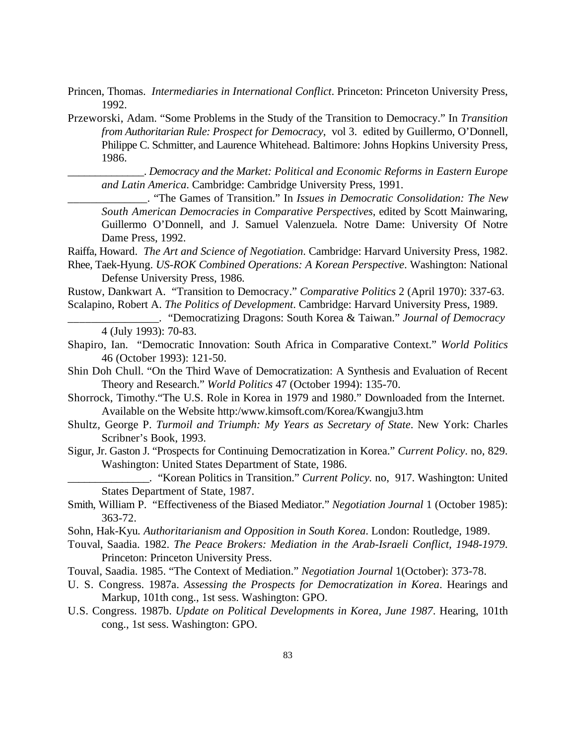- Princen, Thomas. *Intermediaries in International Conflict*. Princeton: Princeton University Press, 1992.
- Przeworski, Adam. "Some Problems in the Study of the Transition to Democracy." In *Transition from Authoritarian Rule: Prospect for Democracy*, vol 3. edited by Guillermo, O'Donnell, Philippe C. Schmitter, and Laurence Whitehead. Baltimore: Johns Hopkins University Press, 1986.

\_\_\_\_\_\_\_\_\_\_\_\_\_\_. *Democracy and the Market: Political and Economic Reforms in Eastern Europe and Latin America*. Cambridge: Cambridge University Press, 1991.

\_\_\_\_\_\_\_\_\_\_\_\_\_\_. "The Games of Transition." In *Issues in Democratic Consolidation: The New South American Democracies in Comparative Perspectives*, edited by Scott Mainwaring, Guillermo O'Donnell, and J. Samuel Valenzuela. Notre Dame: University Of Notre Dame Press, 1992.

Raiffa, Howard. *The Art and Science of Negotiation*. Cambridge: Harvard University Press, 1982. Rhee, Taek-Hyung. *US-ROK Combined Operations: A Korean Perspective*. Washington: National Defense University Press, 1986.

Rustow, Dankwart A. "Transition to Democracy." *Comparative Politics* 2 (April 1970): 337-63. Scalapino, Robert A. *The Politics of Development*. Cambridge: Harvard University Press, 1989.

\_\_\_\_\_\_\_\_\_\_\_\_\_\_\_\_. "Democratizing Dragons: South Korea & Taiwan." *Journal of Democracy* 4 (July 1993): 70-83.

- Shapiro, Ian. "Democratic Innovation: South Africa in Comparative Context." *World Politics* 46 (October 1993): 121-50.
- Shin Doh Chull. "On the Third Wave of Democratization: A Synthesis and Evaluation of Recent Theory and Research." *World Politics* 47 (October 1994): 135-70.
- Shorrock, Timothy."The U.S. Role in Korea in 1979 and 1980." Downloaded from the Internet. Available on the Website http:/www.kimsoft.com/Korea/Kwangju3.htm
- Shultz*,* George P. *Turmoil and Triumph: My Years as Secretary of State*. New York: Charles Scribner's Book, 1993.
- Sigur, Jr. Gaston J. "Prospects for Continuing Democratization in Korea." *Current Policy*. no, 829. Washington: United States Department of State, 1986.

\_\_\_\_\_\_\_\_\_\_\_\_\_\_\_. "Korean Politics in Transition." *Current Policy.* no, 917. Washington: United States Department of State, 1987.

Smith, William P. "Effectiveness of the Biased Mediator." *Negotiation Journal* 1 (October 1985): 363-72.

- Sohn, Hak-Kyu*. Authoritarianism and Opposition in South Korea*. London: Routledge, 1989.
- Touval, Saadia. 1982. *The Peace Brokers: Mediation in the Arab-Israeli Conflict, 1948-1979*. Princeton: Princeton University Press.
- Touval, Saadia. 1985. "The Context of Mediation." *Negotiation Journal* 1(October): 373-78.
- U. S. Congress. 1987a. *Assessing the Prospects for Democratization in Korea*. Hearings and Markup, 101th cong., 1st sess. Washington: GPO.
- U.S. Congress. 1987b. *Update on Political Developments in Korea, June 1987*. Hearing, 101th cong., 1st sess. Washington: GPO.